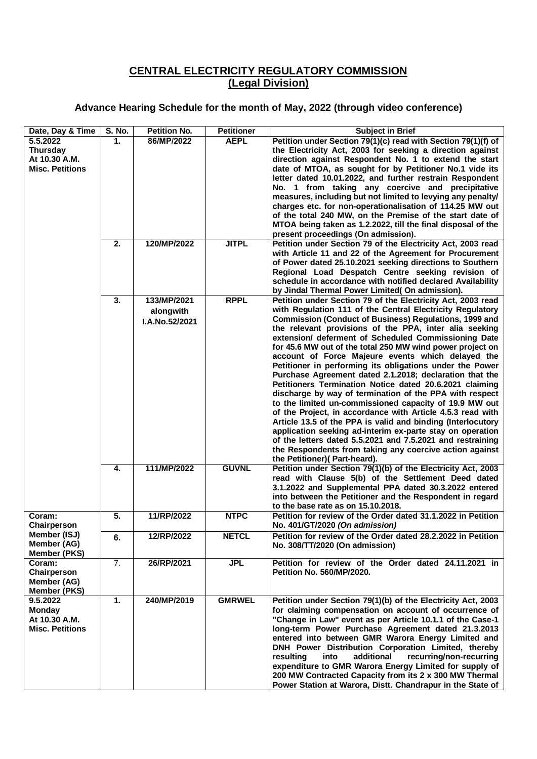## **CENTRAL ELECTRICITY REGULATORY COMMISSION (Legal Division)**

## **Advance Hearing Schedule for the month of May, 2022 (through video conference)**

| Date, Day & Time                                                     | <b>S. No.</b> | <b>Petition No.</b>                                       | <b>Petitioner</b>           |                                                                                                                                                                                                                                                                                                                                                                                                                                                                                                                                                                                                                                                                                                                                                                                                                                                                                                                                                                                                                                                                                         |
|----------------------------------------------------------------------|---------------|-----------------------------------------------------------|-----------------------------|-----------------------------------------------------------------------------------------------------------------------------------------------------------------------------------------------------------------------------------------------------------------------------------------------------------------------------------------------------------------------------------------------------------------------------------------------------------------------------------------------------------------------------------------------------------------------------------------------------------------------------------------------------------------------------------------------------------------------------------------------------------------------------------------------------------------------------------------------------------------------------------------------------------------------------------------------------------------------------------------------------------------------------------------------------------------------------------------|
| 5.5.2022                                                             | 1.            | 86/MP/2022                                                | <b>AEPL</b>                 | <b>Subject in Brief</b><br>Petition under Section 79(1)(c) read with Section 79(1)(f) of                                                                                                                                                                                                                                                                                                                                                                                                                                                                                                                                                                                                                                                                                                                                                                                                                                                                                                                                                                                                |
| <b>Thursday</b><br>At 10.30 A.M.<br><b>Misc. Petitions</b>           |               |                                                           |                             | the Electricity Act, 2003 for seeking a direction against<br>direction against Respondent No. 1 to extend the start<br>date of MTOA, as sought for by Petitioner No.1 vide its<br>letter dated 10.01.2022, and further restrain Respondent<br>No. 1 from taking any coercive and precipitative<br>measures, including but not limited to levying any penalty/<br>charges etc. for non-operationalisation of 114.25 MW out<br>of the total 240 MW, on the Premise of the start date of<br>MTOA being taken as 1.2.2022, till the final disposal of the<br>present proceedings (On admission).                                                                                                                                                                                                                                                                                                                                                                                                                                                                                            |
|                                                                      | 2.            | 120/MP/2022                                               | <b>JITPL</b>                | Petition under Section 79 of the Electricity Act, 2003 read<br>with Article 11 and 22 of the Agreement for Procurement<br>of Power dated 25.10.2021 seeking directions to Southern<br>Regional Load Despatch Centre seeking revision of<br>schedule in accordance with notified declared Availability<br>by Jindal Thermal Power Limited(On admission).                                                                                                                                                                                                                                                                                                                                                                                                                                                                                                                                                                                                                                                                                                                                 |
|                                                                      | 3.<br>4.      | 133/MP/2021<br>alongwith<br>I.A.No.52/2021<br>111/MP/2022 | <b>RPPL</b><br><b>GUVNL</b> | Petition under Section 79 of the Electricity Act, 2003 read<br>with Regulation 111 of the Central Electricity Regulatory<br><b>Commission (Conduct of Business) Regulations, 1999 and</b><br>the relevant provisions of the PPA, inter alia seeking<br>extension/ deferment of Scheduled Commissioning Date<br>for 45.6 MW out of the total 250 MW wind power project on<br>account of Force Majeure events which delayed the<br>Petitioner in performing its obligations under the Power<br>Purchase Agreement dated 2.1.2018; declaration that the<br>Petitioners Termination Notice dated 20.6.2021 claiming<br>discharge by way of termination of the PPA with respect<br>to the limited un-commissioned capacity of 19.9 MW out<br>of the Project, in accordance with Article 4.5.3 read with<br>Article 13.5 of the PPA is valid and binding (Interlocutory<br>application seeking ad-interim ex-parte stay on operation<br>of the letters dated 5.5.2021 and 7.5.2021 and restraining<br>the Respondents from taking any coercive action against<br>the Petitioner)(Part-heard). |
|                                                                      |               |                                                           |                             | Petition under Section 79(1)(b) of the Electricity Act, 2003<br>read with Clause 5(b) of the Settlement Deed dated<br>3.1.2022 and Supplemental PPA dated 30.3.2022 entered<br>into between the Petitioner and the Respondent in regard<br>to the base rate as on 15.10.2018.                                                                                                                                                                                                                                                                                                                                                                                                                                                                                                                                                                                                                                                                                                                                                                                                           |
| Coram:<br>Chairperson                                                | 5.            | 11/RP/2022                                                | <b>NTPC</b>                 | Petition for review of the Order dated 31.1.2022 in Petition<br>No. 401/GT/2020 (On admission)                                                                                                                                                                                                                                                                                                                                                                                                                                                                                                                                                                                                                                                                                                                                                                                                                                                                                                                                                                                          |
| Member (ISJ)<br>Member (AG)<br><b>Member (PKS)</b>                   | 6.            | 12/RP/2022                                                | <b>NETCL</b>                | Petition for review of the Order dated 28.2.2022 in Petition<br>No. 308/TT/2020 (On admission)                                                                                                                                                                                                                                                                                                                                                                                                                                                                                                                                                                                                                                                                                                                                                                                                                                                                                                                                                                                          |
| Coram:<br>Chairperson<br>Member (AG)<br><b>Member (PKS)</b>          | 7.            | 26/RP/2021                                                | <b>JPL</b>                  | Petition for review of the Order dated 24.11.2021 in<br><b>Petition No. 560/MP/2020.</b>                                                                                                                                                                                                                                                                                                                                                                                                                                                                                                                                                                                                                                                                                                                                                                                                                                                                                                                                                                                                |
| 9.5.2022<br><b>Monday</b><br>At 10.30 A.M.<br><b>Misc. Petitions</b> | 1.            | 240/MP/2019                                               | <b>GMRWEL</b>               | Petition under Section 79(1)(b) of the Electricity Act, 2003<br>for claiming compensation on account of occurrence of<br>"Change in Law" event as per Article 10.1.1 of the Case-1<br>long-term Power Purchase Agreement dated 21.3.2013<br>entered into between GMR Warora Energy Limited and<br>DNH Power Distribution Corporation Limited, thereby<br>recurring/non-recurring<br>resulting<br>into<br>additional<br>expenditure to GMR Warora Energy Limited for supply of<br>200 MW Contracted Capacity from its 2 x 300 MW Thermal<br>Power Station at Warora, Distt. Chandrapur in the State of                                                                                                                                                                                                                                                                                                                                                                                                                                                                                   |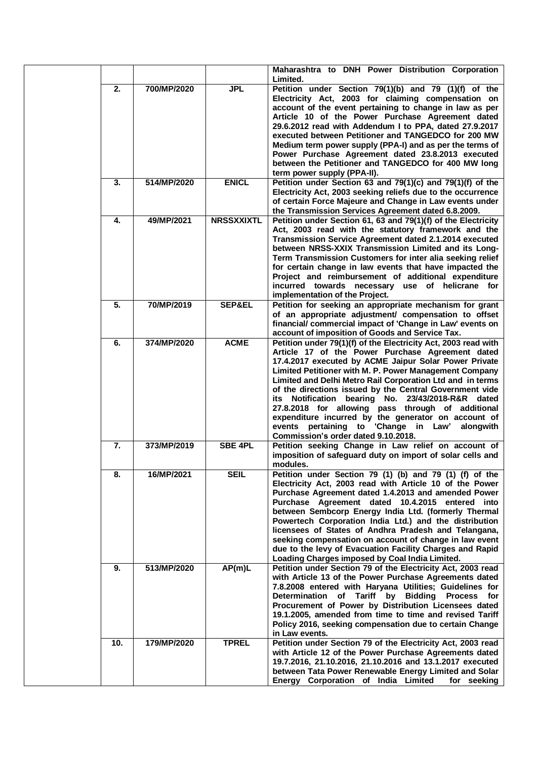|                  |             |                   | Maharashtra to DNH Power Distribution Corporation<br>Limited.                                                                                                                                                                                                                                                                                                                                                                                                                                                                                                                                                              |
|------------------|-------------|-------------------|----------------------------------------------------------------------------------------------------------------------------------------------------------------------------------------------------------------------------------------------------------------------------------------------------------------------------------------------------------------------------------------------------------------------------------------------------------------------------------------------------------------------------------------------------------------------------------------------------------------------------|
| 2.               | 700/MP/2020 | <b>JPL</b>        | Petition under Section 79(1)(b) and 79 (1)(f) of the<br>Electricity Act, 2003 for claiming compensation on<br>account of the event pertaining to change in law as per<br>Article 10 of the Power Purchase Agreement dated<br>29.6.2012 read with Addendum I to PPA, dated 27.9.2017<br>executed between Petitioner and TANGEDCO for 200 MW<br>Medium term power supply (PPA-I) and as per the terms of<br>Power Purchase Agreement dated 23.8.2013 executed<br>between the Petitioner and TANGEDCO for 400 MW long<br>term power supply (PPA-II).                                                                          |
| 3.               | 514/MP/2020 | <b>ENICL</b>      | Petition under Section 63 and 79(1)(c) and 79(1)(f) of the<br>Electricity Act, 2003 seeking reliefs due to the occurrence<br>of certain Force Majeure and Change in Law events under<br>the Transmission Services Agreement dated 6.8.2009.                                                                                                                                                                                                                                                                                                                                                                                |
| 4.               | 49/MP/2021  | <b>NRSSXXIXTL</b> | Petition under Section 61, 63 and 79(1)(f) of the Electricity<br>Act, 2003 read with the statutory framework and the<br>Transmission Service Agreement dated 2.1.2014 executed<br>between NRSS-XXIX Transmission Limited and its Long-<br>Term Transmission Customers for inter alia seeking relief<br>for certain change in law events that have impacted the<br>Project and reimbursement of additional expenditure<br>incurred towards necessary use of helicrane for<br>implementation of the Project.                                                                                                                 |
| $\overline{5}$ . | 70/MP/2019  | <b>SEP&amp;EL</b> | Petition for seeking an appropriate mechanism for grant<br>of an appropriate adjustment/ compensation to offset<br>financial/ commercial impact of 'Change in Law' events on<br>account of imposition of Goods and Service Tax.                                                                                                                                                                                                                                                                                                                                                                                            |
| 6.               | 374/MP/2020 | <b>ACME</b>       | Petition under 79(1)(f) of the Electricity Act, 2003 read with<br>Article 17 of the Power Purchase Agreement dated<br>17.4.2017 executed by ACME Jaipur Solar Power Private<br>Limited Petitioner with M. P. Power Management Company<br>Limited and Delhi Metro Rail Corporation Ltd and in terms<br>of the directions issued by the Central Government vide<br>its Notification bearing No. 23/43/2018-R&R dated<br>27.8.2018 for allowing pass through of additional<br>expenditure incurred by the generator on account of<br>events pertaining to 'Change in Law'<br>alongwith<br>Commission's order dated 9.10.2018. |
| 7.               | 373/MP/2019 | <b>SBE 4PL</b>    | Petition seeking Change in Law relief on account of<br>imposition of safeguard duty on import of solar cells and<br>modules.                                                                                                                                                                                                                                                                                                                                                                                                                                                                                               |
| 8.               | 16/MP/2021  | <b>SEIL</b>       | Petition under Section 79 (1) (b) and 79 (1) (f) of the<br>Electricity Act, 2003 read with Article 10 of the Power<br>Purchase Agreement dated 1.4.2013 and amended Power<br>Purchase Agreement dated 10.4.2015 entered into<br>between Sembcorp Energy India Ltd. (formerly Thermal<br>Powertech Corporation India Ltd.) and the distribution<br>licensees of States of Andhra Pradesh and Telangana,<br>seeking compensation on account of change in law event<br>due to the levy of Evacuation Facility Charges and Rapid<br>Loading Charges imposed by Coal India Limited.                                             |
| 9.               | 513/MP/2020 | AP(m)L            | Petition under Section 79 of the Electricity Act, 2003 read<br>with Article 13 of the Power Purchase Agreements dated<br>7.8.2008 entered with Haryana Utilities; Guidelines for<br>Determination of Tariff by Bidding Process for<br>Procurement of Power by Distribution Licensees dated<br>19.1.2005, amended from time to time and revised Tariff<br>Policy 2016, seeking compensation due to certain Change<br>in Law events.                                                                                                                                                                                         |
| 10.              | 179/MP/2020 | <b>TPREL</b>      | Petition under Section 79 of the Electricity Act, 2003 read<br>with Article 12 of the Power Purchase Agreements dated<br>19.7.2016, 21.10.2016, 21.10.2016 and 13.1.2017 executed<br>between Tata Power Renewable Energy Limited and Solar<br>Energy Corporation of India Limited<br>for seeking                                                                                                                                                                                                                                                                                                                           |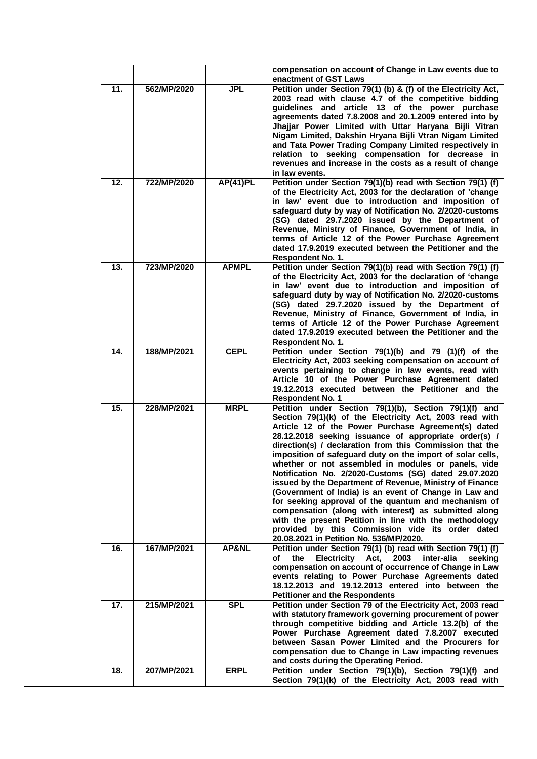|     |             |              | compensation on account of Change in Law events due to<br>enactment of GST Laws                                                                                                                                                                                                                                                                                                                                                                                                                                                                                                                                                                                                                                                                                                                                                                                            |
|-----|-------------|--------------|----------------------------------------------------------------------------------------------------------------------------------------------------------------------------------------------------------------------------------------------------------------------------------------------------------------------------------------------------------------------------------------------------------------------------------------------------------------------------------------------------------------------------------------------------------------------------------------------------------------------------------------------------------------------------------------------------------------------------------------------------------------------------------------------------------------------------------------------------------------------------|
| 11. | 562/MP/2020 | <b>JPL</b>   | Petition under Section 79(1) (b) & (f) of the Electricity Act,<br>2003 read with clause 4.7 of the competitive bidding<br>guidelines and article 13 of the power purchase<br>agreements dated 7.8.2008 and 20.1.2009 entered into by<br>Jhajjar Power Limited with Uttar Haryana Bijli Vitran<br>Nigam Limited, Dakshin Hryana Bijli Vtran Nigam Limited<br>and Tata Power Trading Company Limited respectively in<br>relation to seeking compensation for decrease in<br>revenues and increase in the costs as a result of change<br>in law events.                                                                                                                                                                                                                                                                                                                       |
| 12. | 722/MP/2020 | AP(41)PL     | Petition under Section 79(1)(b) read with Section 79(1) (f)<br>of the Electricity Act, 2003 for the declaration of 'change<br>in law' event due to introduction and imposition of<br>safeguard duty by way of Notification No. 2/2020-customs<br>(SG) dated 29.7.2020 issued by the Department of<br>Revenue, Ministry of Finance, Government of India, in<br>terms of Article 12 of the Power Purchase Agreement<br>dated 17.9.2019 executed between the Petitioner and the<br><b>Respondent No. 1.</b>                                                                                                                                                                                                                                                                                                                                                                   |
| 13. | 723/MP/2020 | <b>APMPL</b> | Petition under Section 79(1)(b) read with Section 79(1) (f)<br>of the Electricity Act, 2003 for the declaration of 'change<br>in law' event due to introduction and imposition of<br>safeguard duty by way of Notification No. 2/2020-customs<br>(SG) dated 29.7.2020 issued by the Department of<br>Revenue, Ministry of Finance, Government of India, in<br>terms of Article 12 of the Power Purchase Agreement<br>dated 17.9.2019 executed between the Petitioner and the<br>Respondent No. 1.                                                                                                                                                                                                                                                                                                                                                                          |
| 14. | 188/MP/2021 | <b>CEPL</b>  | Petition under Section 79(1)(b) and 79 (1)(f) of the<br>Electricity Act, 2003 seeking compensation on account of<br>events pertaining to change in law events, read with<br>Article 10 of the Power Purchase Agreement dated<br>19.12.2013 executed between the Petitioner and the<br><b>Respondent No. 1</b>                                                                                                                                                                                                                                                                                                                                                                                                                                                                                                                                                              |
| 15. | 228/MP/2021 | <b>MRPL</b>  | Petition under Section 79(1)(b), Section 79(1)(f) and<br>Section 79(1)(k) of the Electricity Act, 2003 read with<br>Article 12 of the Power Purchase Agreement(s) dated<br>28.12.2018 seeking issuance of appropriate order(s) /<br>direction(s) / declaration from this Commission that the<br>imposition of safeguard duty on the import of solar cells,<br>whether or not assembled in modules or panels, vide<br>Notification No. 2/2020-Customs (SG) dated 29.07.2020<br>issued by the Department of Revenue, Ministry of Finance<br>(Government of India) is an event of Change in Law and<br>for seeking approval of the quantum and mechanism of<br>compensation (along with interest) as submitted along<br>with the present Petition in line with the methodology<br>provided by this Commission vide its order dated<br>20.08.2021 in Petition No. 536/MP/2020. |
| 16. | 167/MP/2021 | AP&NL        | Petition under Section 79(1) (b) read with Section 79(1) (f)<br>Electricity Act,<br>2003<br>inter-alia<br>оf<br>the<br>seeking<br>compensation on account of occurrence of Change in Law<br>events relating to Power Purchase Agreements dated<br>18.12.2013 and 19.12.2013 entered into between the<br><b>Petitioner and the Respondents</b>                                                                                                                                                                                                                                                                                                                                                                                                                                                                                                                              |
| 17. | 215/MP/2021 | <b>SPL</b>   | Petition under Section 79 of the Electricity Act, 2003 read<br>with statutory framework governing procurement of power<br>through competitive bidding and Article 13.2(b) of the<br>Power Purchase Agreement dated 7.8.2007 executed<br>between Sasan Power Limited and the Procurers for<br>compensation due to Change in Law impacting revenues<br>and costs during the Operating Period.                                                                                                                                                                                                                                                                                                                                                                                                                                                                                |
| 18. | 207/MP/2021 | <b>ERPL</b>  | Petition under Section 79(1)(b), Section 79(1)(f) and<br>Section 79(1)(k) of the Electricity Act, 2003 read with                                                                                                                                                                                                                                                                                                                                                                                                                                                                                                                                                                                                                                                                                                                                                           |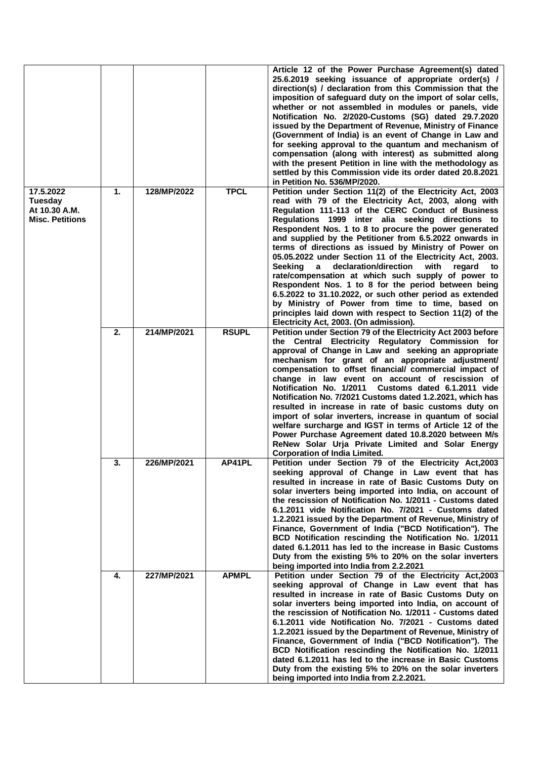|                                                                 |    |             |              | Article 12 of the Power Purchase Agreement(s) dated<br>25.6.2019 seeking issuance of appropriate order(s) /<br>direction(s) / declaration from this Commission that the<br>imposition of safeguard duty on the import of solar cells,<br>whether or not assembled in modules or panels, vide<br>Notification No. 2/2020-Customs (SG) dated 29.7.2020<br>issued by the Department of Revenue, Ministry of Finance<br>(Government of India) is an event of Change in Law and<br>for seeking approval to the quantum and mechanism of<br>compensation (along with interest) as submitted along<br>with the present Petition in line with the methodology as<br>settled by this Commission vide its order dated 20.8.2021<br>in Petition No. 536/MP/2020.                                                                                                                        |
|-----------------------------------------------------------------|----|-------------|--------------|------------------------------------------------------------------------------------------------------------------------------------------------------------------------------------------------------------------------------------------------------------------------------------------------------------------------------------------------------------------------------------------------------------------------------------------------------------------------------------------------------------------------------------------------------------------------------------------------------------------------------------------------------------------------------------------------------------------------------------------------------------------------------------------------------------------------------------------------------------------------------|
| 17.5.2022<br>Tuesday<br>At 10.30 A.M.<br><b>Misc. Petitions</b> | 1. | 128/MP/2022 | <b>TPCL</b>  | Petition under Section 11(2) of the Electricity Act, 2003<br>read with 79 of the Electricity Act, 2003, along with<br>Regulation 111-113 of the CERC Conduct of Business<br>Regulations 1999 inter alia seeking directions to<br>Respondent Nos. 1 to 8 to procure the power generated<br>and supplied by the Petitioner from 6.5.2022 onwards in<br>terms of directions as issued by Ministry of Power on<br>05.05.2022 under Section 11 of the Electricity Act, 2003.<br>declaration/direction<br>with<br>Seeking<br>a<br>regard<br>to<br>rate/compensation at which such supply of power to<br>Respondent Nos. 1 to 8 for the period between being<br>6.5.2022 to 31.10.2022, or such other period as extended<br>by Ministry of Power from time to time, based on<br>principles laid down with respect to Section 11(2) of the<br>Electricity Act, 2003. (On admission). |
|                                                                 | 2. | 214/MP/2021 | <b>RSUPL</b> | Petition under Section 79 of the Electricity Act 2003 before<br>the Central Electricity Regulatory Commission for<br>approval of Change in Law and seeking an appropriate<br>mechanism for grant of an appropriate adjustment/<br>compensation to offset financial/ commercial impact of<br>change in law event on account of rescission of<br>Notification No. 1/2011<br>Customs dated 6.1.2011 vide<br>Notification No. 7/2021 Customs dated 1.2.2021, which has<br>resulted in increase in rate of basic customs duty on<br>import of solar inverters, increase in quantum of social<br>welfare surcharge and IGST in terms of Article 12 of the<br>Power Purchase Agreement dated 10.8.2020 between M/s<br>ReNew Solar Urja Private Limited and Solar Energy<br><b>Corporation of India Limited.</b>                                                                     |
|                                                                 | 3. | 226/MP/2021 | AP41PL       | Petition under Section 79 of the Electricity Act,2003<br>seeking approval of Change in Law event that has<br>resulted in increase in rate of Basic Customs Duty on<br>solar inverters being imported into India, on account of<br>the rescission of Notification No. 1/2011 - Customs dated<br>6.1.2011 vide Notification No. 7/2021 - Customs dated<br>1.2.2021 issued by the Department of Revenue, Ministry of<br>Finance, Government of India ("BCD Notification"). The<br>BCD Notification rescinding the Notification No. 1/2011<br>dated 6.1.2011 has led to the increase in Basic Customs<br>Duty from the existing 5% to 20% on the solar inverters<br>being imported into India from 2.2.2021                                                                                                                                                                      |
|                                                                 | 4. | 227/MP/2021 | <b>APMPL</b> | Petition under Section 79 of the Electricity Act,2003<br>seeking approval of Change in Law event that has<br>resulted in increase in rate of Basic Customs Duty on<br>solar inverters being imported into India, on account of<br>the rescission of Notification No. 1/2011 - Customs dated<br>6.1.2011 vide Notification No. 7/2021 - Customs dated<br>1.2.2021 issued by the Department of Revenue, Ministry of<br>Finance, Government of India ("BCD Notification"). The<br>BCD Notification rescinding the Notification No. 1/2011<br>dated 6.1.2011 has led to the increase in Basic Customs<br>Duty from the existing 5% to 20% on the solar inverters<br>being imported into India from 2.2.2021.                                                                                                                                                                     |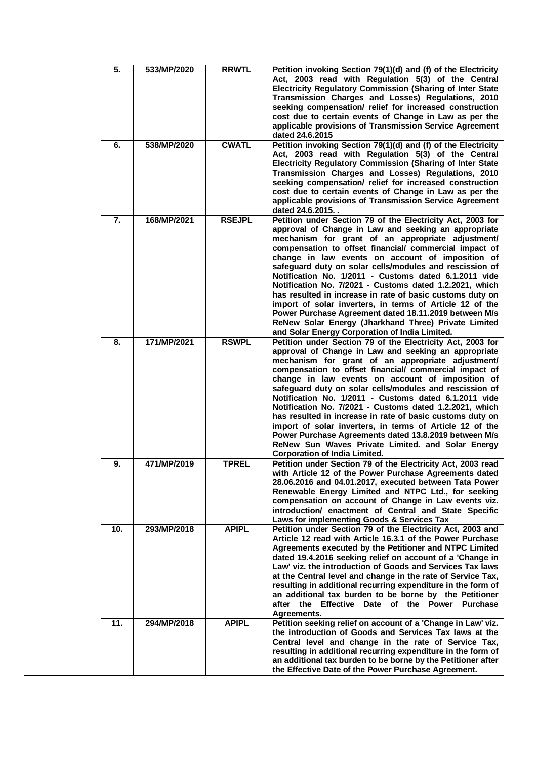| 5.  | 533/MP/2020 | <b>RRWTL</b>  | Petition invoking Section 79(1)(d) and (f) of the Electricity<br>Act, 2003 read with Regulation 5(3) of the Central<br>Electricity Regulatory Commission (Sharing of Inter State<br>Transmission Charges and Losses) Regulations, 2010<br>seeking compensation/ relief for increased construction<br>cost due to certain events of Change in Law as per the<br>applicable provisions of Transmission Service Agreement<br>dated 24.6.2015                                                                                                                                                                                                                                                                                                                        |
|-----|-------------|---------------|------------------------------------------------------------------------------------------------------------------------------------------------------------------------------------------------------------------------------------------------------------------------------------------------------------------------------------------------------------------------------------------------------------------------------------------------------------------------------------------------------------------------------------------------------------------------------------------------------------------------------------------------------------------------------------------------------------------------------------------------------------------|
| 6.  | 538/MP/2020 | <b>CWATL</b>  | Petition invoking Section 79(1)(d) and (f) of the Electricity<br>Act, 2003 read with Regulation 5(3) of the Central<br><b>Electricity Regulatory Commission (Sharing of Inter State</b><br>Transmission Charges and Losses) Regulations, 2010<br>seeking compensation/ relief for increased construction<br>cost due to certain events of Change in Law as per the<br>applicable provisions of Transmission Service Agreement<br>dated 24.6.2015                                                                                                                                                                                                                                                                                                                 |
| 7.  | 168/MP/2021 | <b>RSEJPL</b> | Petition under Section 79 of the Electricity Act, 2003 for<br>approval of Change in Law and seeking an appropriate<br>mechanism for grant of an appropriate adjustment/<br>compensation to offset financial/ commercial impact of<br>change in law events on account of imposition of<br>safeguard duty on solar cells/modules and rescission of<br>Notification No. 1/2011 - Customs dated 6.1.2011 vide<br>Notification No. 7/2021 - Customs dated 1.2.2021, which<br>has resulted in increase in rate of basic customs duty on<br>import of solar inverters, in terms of Article 12 of the<br>Power Purchase Agreement dated 18.11.2019 between M/s<br>ReNew Solar Energy (Jharkhand Three) Private Limited<br>and Solar Energy Corporation of India Limited. |
| 8.  | 171/MP/2021 | <b>RSWPL</b>  | Petition under Section 79 of the Electricity Act, 2003 for<br>approval of Change in Law and seeking an appropriate<br>mechanism for grant of an appropriate adjustment/<br>compensation to offset financial/ commercial impact of<br>change in law events on account of imposition of<br>safeguard duty on solar cells/modules and rescission of<br>Notification No. 1/2011 - Customs dated 6.1.2011 vide<br>Notification No. 7/2021 - Customs dated 1.2.2021, which<br>has resulted in increase in rate of basic customs duty on<br>import of solar inverters, in terms of Article 12 of the<br>Power Purchase Agreements dated 13.8.2019 between M/s<br>ReNew Sun Waves Private Limited. and Solar Energy<br><b>Corporation of India Limited.</b>              |
| 9.  | 471/MP/2019 | <b>TPREL</b>  | Petition under Section 79 of the Electricity Act, 2003 read<br>with Article 12 of the Power Purchase Agreements dated<br>28.06.2016 and 04.01.2017, executed between Tata Power<br>Renewable Energy Limited and NTPC Ltd., for seeking<br>compensation on account of Change in Law events viz.<br>introduction/ enactment of Central and State Specific<br>Laws for implementing Goods & Services Tax                                                                                                                                                                                                                                                                                                                                                            |
| 10. | 293/MP/2018 | <b>APIPL</b>  | Petition under Section 79 of the Electricity Act, 2003 and<br>Article 12 read with Article 16.3.1 of the Power Purchase<br>Agreements executed by the Petitioner and NTPC Limited<br>dated 19.4.2016 seeking relief on account of a 'Change in<br>Law' viz. the introduction of Goods and Services Tax laws<br>at the Central level and change in the rate of Service Tax,<br>resulting in additional recurring expenditure in the form of<br>an additional tax burden to be borne by the Petitioner<br>after the Effective Date of the Power Purchase<br>Agreements.                                                                                                                                                                                            |
| 11. | 294/MP/2018 | <b>APIPL</b>  | Petition seeking relief on account of a 'Change in Law' viz.<br>the introduction of Goods and Services Tax laws at the<br>Central level and change in the rate of Service Tax,<br>resulting in additional recurring expenditure in the form of<br>an additional tax burden to be borne by the Petitioner after<br>the Effective Date of the Power Purchase Agreement.                                                                                                                                                                                                                                                                                                                                                                                            |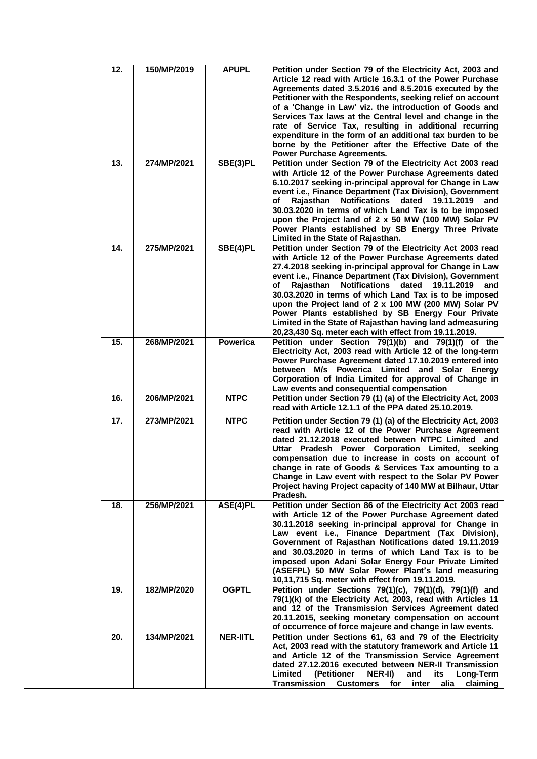| 12. | 150/MP/2019 | <b>APUPL</b>    | Petition under Section 79 of the Electricity Act, 2003 and<br>Article 12 read with Article 16.3.1 of the Power Purchase<br>Agreements dated 3.5.2016 and 8.5.2016 executed by the<br>Petitioner with the Respondents, seeking relief on account<br>of a 'Change in Law' viz. the introduction of Goods and<br>Services Tax laws at the Central level and change in the<br>rate of Service Tax, resulting in additional recurring<br>expenditure in the form of an additional tax burden to be<br>borne by the Petitioner after the Effective Date of the<br><b>Power Purchase Agreements.</b>                |
|-----|-------------|-----------------|--------------------------------------------------------------------------------------------------------------------------------------------------------------------------------------------------------------------------------------------------------------------------------------------------------------------------------------------------------------------------------------------------------------------------------------------------------------------------------------------------------------------------------------------------------------------------------------------------------------|
| 13. | 274/MP/2021 | SBE(3)PL        | Petition under Section 79 of the Electricity Act 2003 read<br>with Article 12 of the Power Purchase Agreements dated<br>6.10.2017 seeking in-principal approval for Change in Law<br>event i.e., Finance Department (Tax Division), Government<br>Notifications dated 19.11.2019<br>Rajasthan<br>of<br>and<br>30.03.2020 in terms of which Land Tax is to be imposed<br>upon the Project land of 2 x 50 MW (100 MW) Solar PV<br>Power Plants established by SB Energy Three Private<br>Limited in the State of Rajasthan.                                                                                    |
| 14. | 275/MP/2021 | SBE(4)PL        | Petition under Section 79 of the Electricity Act 2003 read<br>with Article 12 of the Power Purchase Agreements dated<br>27.4.2018 seeking in-principal approval for Change in Law<br>event i.e., Finance Department (Tax Division), Government<br>Notifications dated<br>Raiasthan<br>19.11.2019<br>and<br>οf<br>30.03.2020 in terms of which Land Tax is to be imposed<br>upon the Project land of 2 x 100 MW (200 MW) Solar PV<br>Power Plants established by SB Energy Four Private<br>Limited in the State of Rajasthan having land admeasuring<br>20,23,430 Sq. meter each with effect from 19.11.2019. |
| 15. | 268/MP/2021 | <b>Powerica</b> | Petition under Section 79(1)(b) and 79(1)(f) of the<br>Electricity Act, 2003 read with Article 12 of the long-term<br>Power Purchase Agreement dated 17.10.2019 entered into<br>between M/s Powerica Limited and Solar Energy<br>Corporation of India Limited for approval of Change in<br>Law events and consequential compensation                                                                                                                                                                                                                                                                         |
| 16. | 206/MP/2021 | <b>NTPC</b>     | Petition under Section 79 (1) (a) of the Electricity Act, 2003<br>read with Article 12.1.1 of the PPA dated 25.10.2019.                                                                                                                                                                                                                                                                                                                                                                                                                                                                                      |
| 17. | 273/MP/2021 | <b>NTPC</b>     | Petition under Section 79 (1) (a) of the Electricity Act, 2003<br>read with Article 12 of the Power Purchase Agreement<br>dated 21.12.2018 executed between NTPC Limited and<br>Uttar Pradesh Power Corporation Limited, seeking<br>compensation due to increase in costs on account of<br>change in rate of Goods & Services Tax amounting to a<br>Change in Law event with respect to the Solar PV Power<br>Project having Project capacity of 140 MW at Bilhaur, Uttar<br>Pradesh.                                                                                                                        |
| 18. | 256/MP/2021 | ASE(4)PL        | Petition under Section 86 of the Electricity Act 2003 read<br>with Article 12 of the Power Purchase Agreement dated<br>30.11.2018 seeking in-principal approval for Change in<br>Law event i.e., Finance Department (Tax Division),<br>Government of Rajasthan Notifications dated 19.11.2019<br>and 30.03.2020 in terms of which Land Tax is to be<br>imposed upon Adani Solar Energy Four Private Limited<br>(ASEFPL) 50 MW Solar Power Plant's land measuring<br>10,11,715 Sq. meter with effect from 19.11.2019.                                                                                         |
| 19. | 182/MP/2020 | <b>OGPTL</b>    | Petition under Sections 79(1)(c), 79(1)(d), 79(1)(f) and<br>79(1)(k) of the Electricity Act, 2003, read with Articles 11<br>and 12 of the Transmission Services Agreement dated<br>20.11.2015, seeking monetary compensation on account<br>of occurrence of force majeure and change in law events.                                                                                                                                                                                                                                                                                                          |
| 20. | 134/MP/2021 | <b>NER-IITL</b> | Petition under Sections 61, 63 and 79 of the Electricity<br>Act, 2003 read with the statutory framework and Article 11<br>and Article 12 of the Transmission Service Agreement<br>dated 27.12.2016 executed between NER-II Transmission<br>Limited<br>(Petitioner<br>NER-II)<br>and<br>its<br>Long-Term<br><b>Transmission</b><br><b>Customers</b><br>alia<br>claiming<br>for<br>inter                                                                                                                                                                                                                       |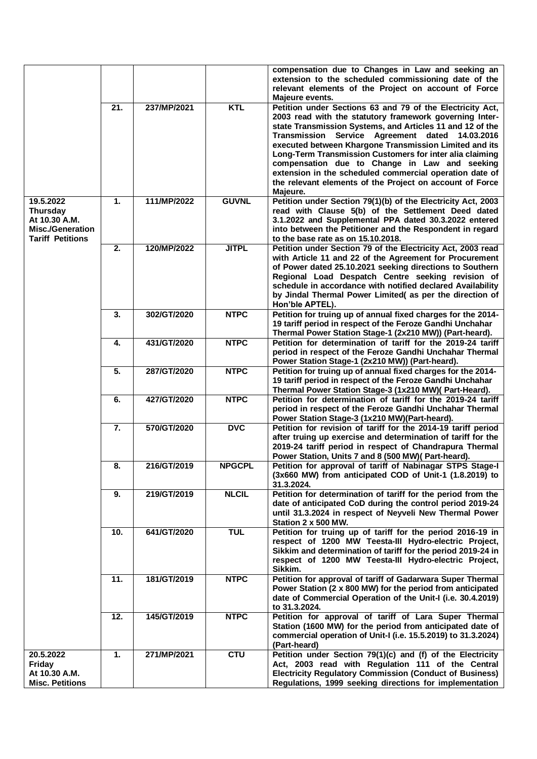|                                                                                                     |     |             |               | compensation due to Changes in Law and seeking an<br>extension to the scheduled commissioning date of the<br>relevant elements of the Project on account of Force<br>Majeure events.                                                                                                                                                                                                 |
|-----------------------------------------------------------------------------------------------------|-----|-------------|---------------|--------------------------------------------------------------------------------------------------------------------------------------------------------------------------------------------------------------------------------------------------------------------------------------------------------------------------------------------------------------------------------------|
|                                                                                                     | 21. | 237/MP/2021 | <b>KTL</b>    | Petition under Sections 63 and 79 of the Electricity Act,<br>2003 read with the statutory framework governing Inter-<br>state Transmission Systems, and Articles 11 and 12 of the                                                                                                                                                                                                    |
|                                                                                                     |     |             |               | Service Agreement dated 14.03.2016<br>Transmission<br>executed between Khargone Transmission Limited and its<br>Long-Term Transmission Customers for inter alia claiming<br>compensation due to Change in Law and seeking<br>extension in the scheduled commercial operation date of<br>the relevant elements of the Project on account of Force<br>Majeure.                         |
| 19.5.2022<br><b>Thursday</b><br>At 10.30 A.M.<br><b>Misc./Generation</b><br><b>Tariff Petitions</b> | 1.  | 111/MP/2022 | <b>GUVNL</b>  | Petition under Section 79(1)(b) of the Electricity Act, 2003<br>read with Clause 5(b) of the Settlement Deed dated<br>3.1.2022 and Supplemental PPA dated 30.3.2022 entered<br>into between the Petitioner and the Respondent in regard<br>to the base rate as on 15.10.2018.                                                                                                        |
|                                                                                                     | 2.  | 120/MP/2022 | <b>JITPL</b>  | Petition under Section 79 of the Electricity Act, 2003 read<br>with Article 11 and 22 of the Agreement for Procurement<br>of Power dated 25.10.2021 seeking directions to Southern<br>Regional Load Despatch Centre seeking revision of<br>schedule in accordance with notified declared Availability<br>by Jindal Thermal Power Limited( as per the direction of<br>Hon'ble APTEL). |
|                                                                                                     | 3.  | 302/GT/2020 | <b>NTPC</b>   | Petition for truing up of annual fixed charges for the 2014-<br>19 tariff period in respect of the Feroze Gandhi Unchahar<br>Thermal Power Station Stage-1 (2x210 MW)) (Part-heard).                                                                                                                                                                                                 |
|                                                                                                     | 4.  | 431/GT/2020 | <b>NTPC</b>   | Petition for determination of tariff for the 2019-24 tariff<br>period in respect of the Feroze Gandhi Unchahar Thermal<br>Power Station Stage-1 (2x210 MW)) (Part-heard).                                                                                                                                                                                                            |
|                                                                                                     | 5.  | 287/GT/2020 | <b>NTPC</b>   | Petition for truing up of annual fixed charges for the 2014-<br>19 tariff period in respect of the Feroze Gandhi Unchahar<br>Thermal Power Station Stage-3 (1x210 MW)( Part-Heard).                                                                                                                                                                                                  |
|                                                                                                     | 6.  | 427/GT/2020 | <b>NTPC</b>   | Petition for determination of tariff for the 2019-24 tariff<br>period in respect of the Feroze Gandhi Unchahar Thermal<br>Power Station Stage-3 (1x210 MW)(Part-heard).                                                                                                                                                                                                              |
|                                                                                                     | 7.  | 570/GT/2020 | <b>DVC</b>    | Petition for revision of tariff for the 2014-19 tariff period<br>after truing up exercise and determination of tariff for the<br>2019-24 tariff period in respect of Chandrapura Thermal<br>Power Station, Units 7 and 8 (500 MW)(Part-heard).                                                                                                                                       |
|                                                                                                     | 8.  | 216/GT/2019 | <b>NPGCPL</b> | Petition for approval of tariff of Nabinagar STPS Stage-I<br>(3x660 MW) from anticipated COD of Unit-1 (1.8.2019) to<br>31.3.2024.                                                                                                                                                                                                                                                   |
|                                                                                                     | 9.  | 219/GT/2019 | <b>NLCIL</b>  | Petition for determination of tariff for the period from the<br>date of anticipated CoD during the control period 2019-24<br>until 31.3.2024 in respect of Neyveli New Thermal Power<br>Station 2 x 500 MW.                                                                                                                                                                          |
|                                                                                                     | 10. | 641/GT/2020 | <b>TUL</b>    | Petition for truing up of tariff for the period 2016-19 in<br>respect of 1200 MW Teesta-III Hydro-electric Project,<br>Sikkim and determination of tariff for the period 2019-24 in<br>respect of 1200 MW Teesta-III Hydro-electric Project,<br>Sikkim.                                                                                                                              |
|                                                                                                     | 11. | 181/GT/2019 | <b>NTPC</b>   | Petition for approval of tariff of Gadarwara Super Thermal<br>Power Station (2 x 800 MW) for the period from anticipated<br>date of Commercial Operation of the Unit-I (i.e. 30.4.2019)<br>to 31.3.2024.                                                                                                                                                                             |
|                                                                                                     | 12. | 145/GT/2019 | <b>NTPC</b>   | Petition for approval of tariff of Lara Super Thermal<br>Station (1600 MW) for the period from anticipated date of<br>commercial operation of Unit-I (i.e. 15.5.2019) to 31.3.2024)<br>(Part-heard)                                                                                                                                                                                  |
| 20.5.2022<br>Friday<br>At 10.30 A.M.<br><b>Misc. Petitions</b>                                      | 1.  | 271/MP/2021 | <b>CTU</b>    | Petition under Section 79(1)(c) and (f) of the Electricity<br>Act, 2003 read with Regulation 111 of the Central<br><b>Electricity Regulatory Commission (Conduct of Business)</b><br>Regulations, 1999 seeking directions for implementation                                                                                                                                         |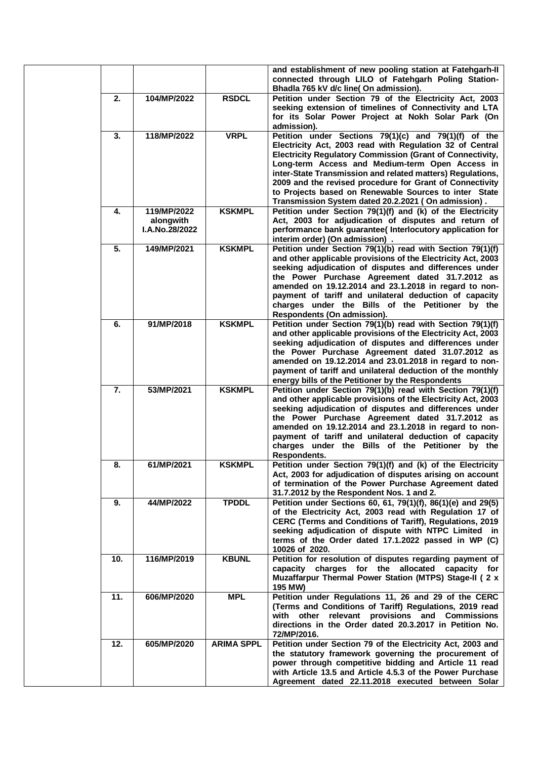|     |                                            |                   | and establishment of new pooling station at Fatehgarh-II<br>connected through LILO of Fatehgarh Poling Station-<br>Bhadla 765 kV d/c line(On admission).                                                                                                                                                                                                                                                                                                                          |
|-----|--------------------------------------------|-------------------|-----------------------------------------------------------------------------------------------------------------------------------------------------------------------------------------------------------------------------------------------------------------------------------------------------------------------------------------------------------------------------------------------------------------------------------------------------------------------------------|
| 2.  | 104/MP/2022                                | <b>RSDCL</b>      | Petition under Section 79 of the Electricity Act, 2003<br>seeking extension of timelines of Connectivity and LTA<br>for its Solar Power Project at Nokh Solar Park (On<br>admission).                                                                                                                                                                                                                                                                                             |
| 3.  | 118/MP/2022                                | <b>VRPL</b>       | Petition under Sections 79(1)(c) and 79(1)(f) of the<br>Electricity Act, 2003 read with Regulation 32 of Central<br><b>Electricity Regulatory Commission (Grant of Connectivity,</b><br>Long-term Access and Medium-term Open Access in<br>inter-State Transmission and related matters) Regulations,<br>2009 and the revised procedure for Grant of Connectivity<br>to Projects based on Renewable Sources to inter State<br>Transmission System dated 20.2.2021 (On admission). |
| 4.  | 119/MP/2022<br>alongwith<br>I.A.No.28/2022 | <b>KSKMPL</b>     | Petition under Section 79(1)(f) and (k) of the Electricity<br>Act, 2003 for adjudication of disputes and return of<br>performance bank guarantee( Interlocutory application for<br>interim order) (On admission).                                                                                                                                                                                                                                                                 |
| 5.  | 149/MP/2021                                | <b>KSKMPL</b>     | Petition under Section 79(1)(b) read with Section 79(1)(f)<br>and other applicable provisions of the Electricity Act, 2003<br>seeking adjudication of disputes and differences under<br>the Power Purchase Agreement dated 31.7.2012 as<br>amended on 19.12.2014 and 23.1.2018 in regard to non-<br>payment of tariff and unilateral deduction of capacity<br>charges under the Bills of the Petitioner by the<br>Respondents (On admission).                                     |
| 6.  | 91/MP/2018                                 | <b>KSKMPL</b>     | Petition under Section 79(1)(b) read with Section 79(1)(f)<br>and other applicable provisions of the Electricity Act, 2003<br>seeking adjudication of disputes and differences under<br>the Power Purchase Agreement dated 31.07.2012 as<br>amended on 19.12.2014 and 23.01.2018 in regard to non-<br>payment of tariff and unilateral deduction of the monthly<br>energy bills of the Petitioner by the Respondents                                                              |
| 7.  | 53/MP/2021                                 | <b>KSKMPL</b>     | Petition under Section 79(1)(b) read with Section 79(1)(f)<br>and other applicable provisions of the Electricity Act, 2003<br>seeking adjudication of disputes and differences under<br>the Power Purchase Agreement dated 31.7.2012 as<br>amended on 19.12.2014 and 23.1.2018 in regard to non-<br>payment of tariff and unilateral deduction of capacity<br>charges under the Bills of the Petitioner by the<br>Respondents.                                                    |
| 8.  | 61/MP/2021                                 | <b>KSKMPL</b>     | Petition under Section 79(1)(f) and (k) of the Electricity<br>Act, 2003 for adjudication of disputes arising on account<br>of termination of the Power Purchase Agreement dated<br>31.7.2012 by the Respondent Nos. 1 and 2.                                                                                                                                                                                                                                                      |
| 9.  | 44/MP/2022                                 | <b>TPDDL</b>      | Petition under Sections 60, 61, 79(1)(f), 86(1)(e) and 29(5)<br>of the Electricity Act, 2003 read with Regulation 17 of<br>CERC (Terms and Conditions of Tariff), Regulations, 2019<br>seeking adjudication of dispute with NTPC Limited in<br>terms of the Order dated 17.1.2022 passed in WP (C)<br>10026 of 2020.                                                                                                                                                              |
| 10. | 116/MP/2019                                | <b>KBUNL</b>      | Petition for resolution of disputes regarding payment of<br>capacity charges for the allocated<br>capacity for<br>Muzaffarpur Thermal Power Station (MTPS) Stage-II ( 2 x<br>195 MW)                                                                                                                                                                                                                                                                                              |
| 11. | 606/MP/2020                                | <b>MPL</b>        | Petition under Regulations 11, 26 and 29 of the CERC<br>(Terms and Conditions of Tariff) Regulations, 2019 read<br>with other relevant provisions and Commissions<br>directions in the Order dated 20.3.2017 in Petition No.<br>72/MP/2016.                                                                                                                                                                                                                                       |
| 12. | 605/MP/2020                                | <b>ARIMA SPPL</b> | Petition under Section 79 of the Electricity Act, 2003 and<br>the statutory framework governing the procurement of<br>power through competitive bidding and Article 11 read<br>with Article 13.5 and Article 4.5.3 of the Power Purchase<br>Agreement dated 22.11.2018 executed between Solar                                                                                                                                                                                     |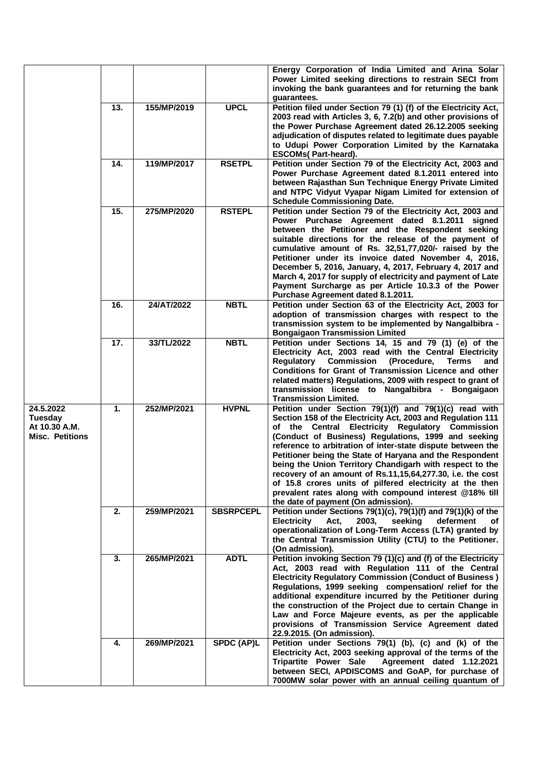|                                                                        |                 |             |                   | Energy Corporation of India Limited and Arina Solar                                                                                                                                                                                                                                                                                                                                                                                                                                                                                                                                                                                                |
|------------------------------------------------------------------------|-----------------|-------------|-------------------|----------------------------------------------------------------------------------------------------------------------------------------------------------------------------------------------------------------------------------------------------------------------------------------------------------------------------------------------------------------------------------------------------------------------------------------------------------------------------------------------------------------------------------------------------------------------------------------------------------------------------------------------------|
|                                                                        |                 |             |                   | Power Limited seeking directions to restrain SECI from<br>invoking the bank guarantees and for returning the bank<br>guarantees.                                                                                                                                                                                                                                                                                                                                                                                                                                                                                                                   |
|                                                                        | 13.             | 155/MP/2019 | <b>UPCL</b>       | Petition filed under Section 79 (1) (f) of the Electricity Act,<br>2003 read with Articles 3, 6, 7.2(b) and other provisions of<br>the Power Purchase Agreement dated 26.12.2005 seeking<br>adjudication of disputes related to legitimate dues payable<br>to Udupi Power Corporation Limited by the Karnataka                                                                                                                                                                                                                                                                                                                                     |
|                                                                        |                 |             |                   | <b>ESCOMs(Part-heard).</b>                                                                                                                                                                                                                                                                                                                                                                                                                                                                                                                                                                                                                         |
|                                                                        | 14.             | 119/MP/2017 | <b>RSETPL</b>     | Petition under Section 79 of the Electricity Act, 2003 and<br>Power Purchase Agreement dated 8.1.2011 entered into<br>between Rajasthan Sun Technique Energy Private Limited<br>and NTPC Vidyut Vyapar Nigam Limited for extension of<br><b>Schedule Commissioning Date.</b>                                                                                                                                                                                                                                                                                                                                                                       |
|                                                                        | $\overline{15}$ | 275/MP/2020 | <b>RSTEPL</b>     | Petition under Section 79 of the Electricity Act, 2003 and<br>Power Purchase Agreement dated 8.1.2011 signed<br>between the Petitioner and the Respondent seeking<br>suitable directions for the release of the payment of<br>cumulative amount of Rs. 32,51,77,020/- raised by the<br>Petitioner under its invoice dated November 4, 2016,<br>December 5, 2016, January, 4, 2017, February 4, 2017 and<br>March 4, 2017 for supply of electricity and payment of Late<br>Payment Surcharge as per Article 10.3.3 of the Power<br>Purchase Agreement dated 8.1.2011.                                                                               |
|                                                                        | 16.             | 24/AT/2022  | <b>NBTL</b>       | Petition under Section 63 of the Electricity Act, 2003 for<br>adoption of transmission charges with respect to the<br>transmission system to be implemented by Nangalbibra -<br><b>Bongaigaon Transmission Limited</b>                                                                                                                                                                                                                                                                                                                                                                                                                             |
|                                                                        | 17.             | 33/TL/2022  | <b>NBTL</b>       | Petition under Sections 14, 15 and 79 (1) (e) of the<br>Electricity Act, 2003 read with the Central Electricity<br><b>Regulatory Commission</b><br>(Procedure,<br><b>Terms</b><br>and<br>Conditions for Grant of Transmission Licence and other<br>related matters) Regulations, 2009 with respect to grant of<br>transmission license to Nangalbibra - Bongaigaon<br><b>Transmission Limited.</b>                                                                                                                                                                                                                                                 |
| 24.5.2022<br><b>Tuesday</b><br>At 10.30 A.M.<br><b>Misc. Petitions</b> | 1.              | 252/MP/2021 | <b>HVPNL</b>      | Petition under Section 79(1)(f) and 79(1)(c) read with<br>Section 158 of the Electricity Act, 2003 and Regulation 111<br>of the Central Electricity Regulatory Commission<br>(Conduct of Business) Regulations, 1999 and seeking<br>reference to arbitration of inter-state dispute between the<br>Petitioner being the State of Haryana and the Respondent<br>being the Union Territory Chandigarh with respect to the<br>recovery of an amount of Rs.11,15,64,277.30, i.e. the cost<br>of 15.8 crores units of pilfered electricity at the then<br>prevalent rates along with compound interest @18% till<br>the date of payment (On admission). |
|                                                                        | 2.              | 259/MP/2021 | <b>SBSRPCEPL</b>  | Petition under Sections 79(1)(c), 79(1)(f) and 79(1)(k) of the<br>seeking<br><b>Electricity</b><br>Act,<br>2003,<br>deferment<br>of<br>operationalization of Long-Term Access (LTA) granted by<br>the Central Transmission Utility (CTU) to the Petitioner.<br>(On admission).                                                                                                                                                                                                                                                                                                                                                                     |
|                                                                        | 3.              | 265/MP/2021 | <b>ADTL</b>       | Petition invoking Section 79 (1)(c) and (f) of the Electricity<br>Act, 2003 read with Regulation 111 of the Central<br><b>Electricity Regulatory Commission (Conduct of Business)</b><br>Regulations, 1999 seeking compensation/ relief for the<br>additional expenditure incurred by the Petitioner during<br>the construction of the Project due to certain Change in<br>Law and Force Majeure events, as per the applicable<br>provisions of Transmission Service Agreement dated<br>22.9.2015. (On admission).                                                                                                                                 |
|                                                                        | 4.              | 269/MP/2021 | <b>SPDC (AP)L</b> | Petition under Sections 79(1) (b), (c) and (k) of the<br>Electricity Act, 2003 seeking approval of the terms of the<br><b>Tripartite Power Sale</b><br>Agreement dated 1.12.2021<br>between SECI, APDISCOMS and GoAP, for purchase of<br>7000MW solar power with an annual ceiling quantum of                                                                                                                                                                                                                                                                                                                                                      |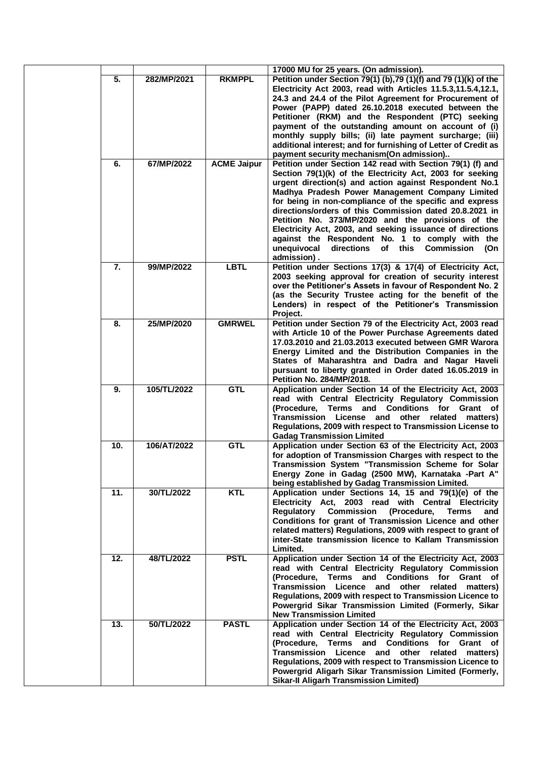|     |             |                    | 17000 MU for 25 years. (On admission).                                                                                                                                                                                                                                                                                                                                                                                                                                                                                                                                                                 |
|-----|-------------|--------------------|--------------------------------------------------------------------------------------------------------------------------------------------------------------------------------------------------------------------------------------------------------------------------------------------------------------------------------------------------------------------------------------------------------------------------------------------------------------------------------------------------------------------------------------------------------------------------------------------------------|
| 5.  | 282/MP/2021 | <b>RKMPPL</b>      | Petition under Section 79(1) (b), 79 (1)(f) and 79 (1)(k) of the<br>Electricity Act 2003, read with Articles 11.5.3,11.5.4,12.1,<br>24.3 and 24.4 of the Pilot Agreement for Procurement of<br>Power (PAPP) dated 26.10.2018 executed between the<br>Petitioner (RKM) and the Respondent (PTC) seeking<br>payment of the outstanding amount on account of (i)<br>monthly supply bills; (ii) late payment surcharge; (iii)<br>additional interest; and for furnishing of Letter of Credit as<br>payment security mechanism(On admission)                                                                |
| 6.  | 67/MP/2022  | <b>ACME Jaipur</b> | Petition under Section 142 read with Section 79(1) (f) and<br>Section 79(1)(k) of the Electricity Act, 2003 for seeking<br>urgent direction(s) and action against Respondent No.1<br>Madhya Pradesh Power Management Company Limited<br>for being in non-compliance of the specific and express<br>directions/orders of this Commission dated 20.8.2021 in<br>Petition No. 373/MP/2020 and the provisions of the<br>Electricity Act, 2003, and seeking issuance of directions<br>against the Respondent No. 1 to comply with the<br>directions of this Commission<br>unequivocal<br>(On<br>admission). |
| 7.  | 99/MP/2022  | <b>LBTL</b>        | Petition under Sections 17(3) & 17(4) of Electricity Act,<br>2003 seeking approval for creation of security interest<br>over the Petitioner's Assets in favour of Respondent No. 2<br>(as the Security Trustee acting for the benefit of the<br>Lenders) in respect of the Petitioner's Transmission<br>Project.                                                                                                                                                                                                                                                                                       |
| 8.  | 25/MP/2020  | <b>GMRWEL</b>      | Petition under Section 79 of the Electricity Act, 2003 read<br>with Article 10 of the Power Purchase Agreements dated<br>17.03.2010 and 21.03.2013 executed between GMR Warora<br>Energy Limited and the Distribution Companies in the<br>States of Maharashtra and Dadra and Nagar Haveli<br>pursuant to liberty granted in Order dated 16.05.2019 in<br><b>Petition No. 284/MP/2018.</b>                                                                                                                                                                                                             |
| 9.  | 105/TL/2022 | <b>GTL</b>         | Application under Section 14 of the Electricity Act, 2003<br>read with Central Electricity Regulatory Commission<br>(Procedure, Terms and Conditions for Grant of<br>Transmission License and other<br>related matters)<br>Regulations, 2009 with respect to Transmission License to<br><b>Gadag Transmission Limited</b>                                                                                                                                                                                                                                                                              |
| 10. | 106/AT/2022 | <b>GTL</b>         | Application under Section 63 of the Electricity Act, 2003<br>for adoption of Transmission Charges with respect to the<br>Transmission System "Transmission Scheme for Solar<br>Energy Zone in Gadag (2500 MW), Karnataka -Part A"<br>being established by Gadag Transmission Limited.                                                                                                                                                                                                                                                                                                                  |
| 11. | 30/TL/2022  | <b>KTL</b>         | Application under Sections 14, 15 and 79(1)(e) of the<br>Electricity Act, 2003 read with Central Electricity<br>Regulatory Commission (Procedure, Terms<br>and<br>Conditions for grant of Transmission Licence and other<br>related matters) Regulations, 2009 with respect to grant of<br>inter-State transmission licence to Kallam Transmission<br>Limited.                                                                                                                                                                                                                                         |
| 12. | 48/TL/2022  | <b>PSTL</b>        | Application under Section 14 of the Electricity Act, 2003<br>read with Central Electricity Regulatory Commission<br>(Procedure, Terms and Conditions for Grant of<br>Transmission Licence and other related matters)<br>Regulations, 2009 with respect to Transmission Licence to<br>Powergrid Sikar Transmission Limited (Formerly, Sikar<br><b>New Transmission Limited</b>                                                                                                                                                                                                                          |
| 13. | 50/TL/2022  | <b>PASTL</b>       | Application under Section 14 of the Electricity Act, 2003<br>read with Central Electricity Regulatory Commission<br>(Procedure, Terms and Conditions for Grant of<br>Transmission Licence and other related matters)<br>Regulations, 2009 with respect to Transmission Licence to<br>Powergrid Aligarh Sikar Transmission Limited (Formerly,<br><b>Sikar-II Aligarh Transmission Limited)</b>                                                                                                                                                                                                          |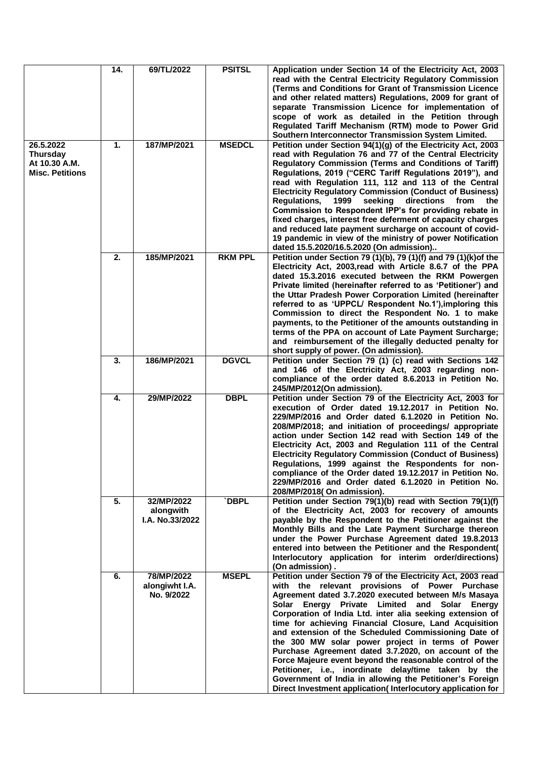|                                                                         | 14. | 69/TL/2022                                 | <b>PSITSL</b>  | Application under Section 14 of the Electricity Act, 2003<br>read with the Central Electricity Regulatory Commission<br>(Terms and Conditions for Grant of Transmission Licence<br>and other related matters) Regulations, 2009 for grant of<br>separate Transmission Licence for implementation of<br>scope of work as detailed in the Petition through<br>Regulated Tariff Mechanism (RTM) mode to Power Grid<br>Southern Interconnector Transmission System Limited.                                                                                                                                                                                                                                                                                          |
|-------------------------------------------------------------------------|-----|--------------------------------------------|----------------|------------------------------------------------------------------------------------------------------------------------------------------------------------------------------------------------------------------------------------------------------------------------------------------------------------------------------------------------------------------------------------------------------------------------------------------------------------------------------------------------------------------------------------------------------------------------------------------------------------------------------------------------------------------------------------------------------------------------------------------------------------------|
| 26.5.2022<br><b>Thursday</b><br>At 10.30 A.M.<br><b>Misc. Petitions</b> | 1.  | 187/MP/2021                                | <b>MSEDCL</b>  | Petition under Section 94(1)(g) of the Electricity Act, 2003<br>read with Regulation 76 and 77 of the Central Electricity<br>Regulatory Commission (Terms and Conditions of Tariff)<br>Regulations, 2019 ("CERC Tariff Regulations 2019"), and<br>read with Regulation 111, 112 and 113 of the Central<br><b>Electricity Regulatory Commission (Conduct of Business)</b><br><b>Regulations,</b><br>1999<br>seeking<br>directions<br>from<br>the<br>Commission to Respondent IPP's for providing rebate in<br>fixed charges, interest free deferment of capacity charges<br>and reduced late payment surcharge on account of covid-<br>19 pandemic in view of the ministry of power Notification<br>dated 15.5.2020/16.5.2020 (On admission)                      |
|                                                                         | 2.  | 185/MP/2021                                | <b>RKM PPL</b> | Petition under Section 79 (1)(b), 79 (1)(f) and 79 (1)(k) of the<br>Electricity Act, 2003, read with Article 8.6.7 of the PPA<br>dated 15.3.2016 executed between the RKM Powergen<br>Private limited (hereinafter referred to as 'Petitioner') and<br>the Uttar Pradesh Power Corporation Limited (hereinafter<br>referred to as 'UPPCL/ Respondent No.1'), imploring this<br>Commission to direct the Respondent No. 1 to make<br>payments, to the Petitioner of the amounts outstanding in<br>terms of the PPA on account of Late Payment Surcharge;<br>and reimbursement of the illegally deducted penalty for<br>short supply of power. (On admission).                                                                                                     |
|                                                                         | 3.  | 186/MP/2021                                | <b>DGVCL</b>   | Petition under Section 79 (1) (c) read with Sections 142<br>and 146 of the Electricity Act, 2003 regarding non-<br>compliance of the order dated 8.6.2013 in Petition No.<br>245/MP/2012(On admission).                                                                                                                                                                                                                                                                                                                                                                                                                                                                                                                                                          |
|                                                                         | 4.  | 29/MP/2022                                 | <b>DBPL</b>    | Petition under Section 79 of the Electricity Act, 2003 for<br>execution of Order dated 19.12.2017 in Petition No.<br>229/MP/2016 and Order dated 6.1.2020 in Petition No.<br>208/MP/2018; and initiation of proceedings/ appropriate<br>action under Section 142 read with Section 149 of the<br>Electricity Act, 2003 and Regulation 111 of the Central<br><b>Electricity Regulatory Commission (Conduct of Business)</b><br>Regulations, 1999 against the Respondents for non-<br>compliance of the Order dated 19.12.2017 in Petition No.<br>229/MP/2016 and Order dated 6.1.2020 in Petition No.<br>208/MP/2018(On admission).                                                                                                                               |
|                                                                         | 5.  | 32/MP/2022<br>alongwith<br>I.A. No.33/2022 | <b>DBPL</b>    | Petition under Section 79(1)(b) read with Section 79(1)(f)<br>of the Electricity Act, 2003 for recovery of amounts<br>payable by the Respondent to the Petitioner against the<br>Monthly Bills and the Late Payment Surcharge thereon<br>under the Power Purchase Agreement dated 19.8.2013<br>entered into between the Petitioner and the Respondent(<br>Interlocutory application for interim order/directions)<br>(On admission).                                                                                                                                                                                                                                                                                                                             |
|                                                                         | 6.  | 78/MP/2022<br>alongiwht I.A.<br>No. 9/2022 | <b>MSEPL</b>   | Petition under Section 79 of the Electricity Act, 2003 read<br>with the relevant provisions of Power Purchase<br>Agreement dated 3.7.2020 executed between M/s Masaya<br>Solar Energy Private Limited and Solar Energy<br>Corporation of India Ltd. inter alia seeking extension of<br>time for achieving Financial Closure, Land Acquisition<br>and extension of the Scheduled Commissioning Date of<br>the 300 MW solar power project in terms of Power<br>Purchase Agreement dated 3.7.2020, on account of the<br>Force Majeure event beyond the reasonable control of the<br>Petitioner, i.e., inordinate delay/time taken by the<br>Government of India in allowing the Petitioner's Foreign<br>Direct Investment application(Interlocutory application for |